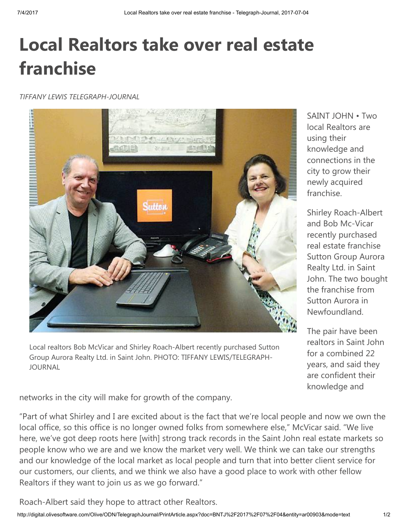## Local Realtors take over real estate franchise

TIFFANY LEWIS TELEGRAPH-JOURNAL



Local realtors Bob McVicar and Shirley Roach-Albert recently purchased Sutton Group Aurora Realty Ltd. in Saint John. PHOTO: TIFFANY LEWIS/TELEGRAPH-JOURNAL

SAINT JOHN • Two local Realtors are using their knowledge and connections in the city to grow their newly acquired franchise.

Shirley Roach-Albert and Bob Mc-Vicar recently purchased real estate franchise Sutton Group Aurora Realty Ltd. in Saint John. The two bought the franchise from Sutton Aurora in Newfoundland.

The pair have been realtors in Saint John for a combined 22 years, and said they are confident their knowledge and

networks in the city will make for growth of the company.

"Part of what Shirley and I are excited about is the fact that we're local people and now we own the local office, so this office is no longer owned folks from somewhere else," McVicar said. "We live here, we've got deep roots here [with] strong track records in the Saint John real estate markets so people know who we are and we know the market very well. We think we can take our strengths and our knowledge of the local market as local people and turn that into better client service for our customers, our clients, and we think we also have a good place to work with other fellow Realtors if they want to join us as we go forward."

Roach-Albert said they hope to attract other Realtors.